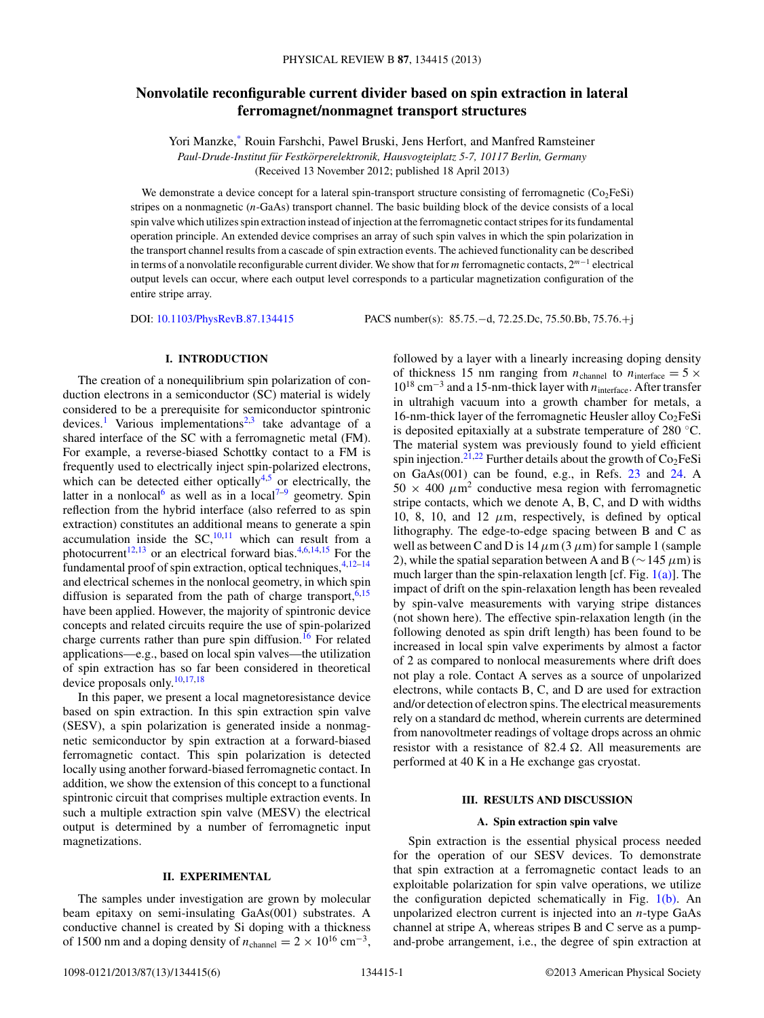# **Nonvolatile reconfigurable current divider based on spin extraction in lateral ferromagnet/nonmagnet transport structures**

Yori Manzke[,\\*](#page-4-0) Rouin Farshchi, Pawel Bruski, Jens Herfort, and Manfred Ramsteiner *Paul-Drude-Institut fur Festk ¨ orperelektronik, Hausvogteiplatz 5-7, 10117 Berlin, Germany ¨* (Received 13 November 2012; published 18 April 2013)

We demonstrate a device concept for a lateral spin-transport structure consisting of ferromagnetic  $\text{(\text{Co}_2FeSi)}$ stripes on a nonmagnetic (*n*-GaAs) transport channel. The basic building block of the device consists of a local spin valve which utilizes spin extraction instead of injection at the ferromagnetic contact stripes for its fundamental operation principle. An extended device comprises an array of such spin valves in which the spin polarization in the transport channel results from a cascade of spin extraction events. The achieved functionality can be described in terms of a nonvolatile reconfigurable current divider. We show that for *m* ferromagnetic contacts, 2*<sup>m</sup>*−<sup>1</sup> electrical output levels can occur, where each output level corresponds to a particular magnetization configuration of the entire stripe array.

DOI: [10.1103/PhysRevB.87.134415](http://dx.doi.org/10.1103/PhysRevB.87.134415) PACS number(s): 85*.*75*.*−d, 72*.*25*.*Dc, 75*.*50*.*Bb, 75*.*76*.*+j

### **I. INTRODUCTION**

The creation of a nonequilibrium spin polarization of conduction electrons in a semiconductor (SC) material is widely considered to be a prerequisite for semiconductor spintronic devices.<sup>[1](#page-4-0)</sup> Various implementations<sup>[2,3](#page-4-0)</sup> take advantage of a shared interface of the SC with a ferromagnetic metal (FM). For example, a reverse-biased Schottky contact to a FM is frequently used to electrically inject spin-polarized electrons, which can be detected either optically<sup>4,5</sup> or electrically, the latter in a nonlocal<sup>[6](#page-4-0)</sup> as well as in a local<sup>7-9</sup> geometry. Spin reflection from the hybrid interface (also referred to as spin extraction) constitutes an additional means to generate a spin accumulation inside the  $SC<sub>1</sub><sup>10,11</sup>$  which can result from a photocurrent<sup>12,13</sup> or an electrical forward bias.<sup>[4,6](#page-4-0)[,14,15](#page-5-0)</sup> For the fundamental proof of spin extraction, optical techniques,  $4,12-14$  $4,12-14$ and electrical schemes in the nonlocal geometry, in which spin diffusion is separated from the path of charge transport,  $6,15$  $6,15$ have been applied. However, the majority of spintronic device concepts and related circuits require the use of spin-polarized charge currents rather than pure spin diffusion.<sup>[16](#page-5-0)</sup> For related applications—e.g., based on local spin valves—the utilization of spin extraction has so far been considered in theoretical device proposals only.[10,17,18](#page-5-0)

In this paper, we present a local magnetoresistance device based on spin extraction. In this spin extraction spin valve (SESV), a spin polarization is generated inside a nonmagnetic semiconductor by spin extraction at a forward-biased ferromagnetic contact. This spin polarization is detected locally using another forward-biased ferromagnetic contact. In addition, we show the extension of this concept to a functional spintronic circuit that comprises multiple extraction events. In such a multiple extraction spin valve (MESV) the electrical output is determined by a number of ferromagnetic input magnetizations.

### **II. EXPERIMENTAL**

The samples under investigation are grown by molecular beam epitaxy on semi-insulating GaAs(001) substrates. A conductive channel is created by Si doping with a thickness of 1500 nm and a doping density of  $n_{channel} = 2 \times 10^{16}$  cm<sup>-3</sup>, followed by a layer with a linearly increasing doping density of thickness 15 nm ranging from  $n_{channel}$  to  $n_{interface} = 5 \times$ 1018 cm−<sup>3</sup> and a 15-nm-thick layer with *n*interface. After transfer in ultrahigh vacuum into a growth chamber for metals, a 16-nm-thick layer of the ferromagnetic Heusler alloy  $Co<sub>2</sub>FeSi$ is deposited epitaxially at a substrate temperature of 280 ◦C. The material system was previously found to yield efficient spin injection.<sup>[21,22](#page-5-0)</sup> Further details about the growth of  $Co<sub>2</sub>FeSi$ on GaAs(001) can be found, e.g., in Refs. [23](#page-5-0) and [24.](#page-5-0) A  $50 \times 400 \ \mu m^2$  conductive mesa region with ferromagnetic stripe contacts, which we denote A, B, C, and D with widths 10, 8, 10, and 12  $\mu$ m, respectively, is defined by optical lithography. The edge-to-edge spacing between B and C as well as between C and D is  $14 \mu m (3 \mu m)$  for sample 1 (sample 2), while the spatial separation between A and B (∼145 *μ*m) is much larger than the spin-relaxation length [cf. Fig. [1\(a\)\]](#page-1-0). The impact of drift on the spin-relaxation length has been revealed by spin-valve measurements with varying stripe distances (not shown here). The effective spin-relaxation length (in the following denoted as spin drift length) has been found to be increased in local spin valve experiments by almost a factor of 2 as compared to nonlocal measurements where drift does not play a role. Contact A serves as a source of unpolarized electrons, while contacts B, C, and D are used for extraction and/or detection of electron spins. The electrical measurements rely on a standard dc method, wherein currents are determined from nanovoltmeter readings of voltage drops across an ohmic resistor with a resistance of 82.4  $\Omega$ . All measurements are performed at 40 K in a He exchange gas cryostat.

#### **III. RESULTS AND DISCUSSION**

## **A. Spin extraction spin valve**

Spin extraction is the essential physical process needed for the operation of our SESV devices. To demonstrate that spin extraction at a ferromagnetic contact leads to an exploitable polarization for spin valve operations, we utilize the configuration depicted schematically in Fig.  $1(b)$ . An unpolarized electron current is injected into an *n*-type GaAs channel at stripe A, whereas stripes B and C serve as a pumpand-probe arrangement, i.e., the degree of spin extraction at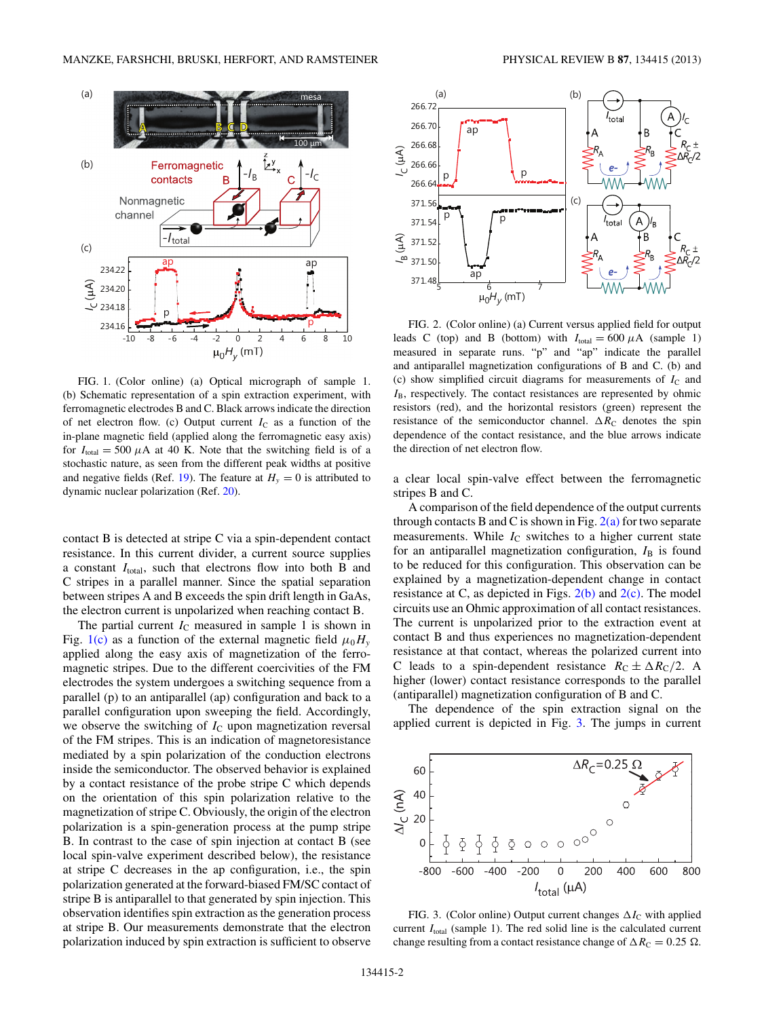<span id="page-1-0"></span>

FIG. 1. (Color online) (a) Optical micrograph of sample 1. (b) Schematic representation of a spin extraction experiment, with ferromagnetic electrodes B and C. Black arrows indicate the direction of net electron flow. (c) Output current  $I_C$  as a function of the in-plane magnetic field (applied along the ferromagnetic easy axis) for  $I_{\text{total}} = 500 \mu A$  at 40 K. Note that the switching field is of a stochastic nature, as seen from the different peak widths at positive and negative fields (Ref. [19\)](#page-5-0). The feature at  $H<sub>v</sub> = 0$  is attributed to dynamic nuclear polarization (Ref. [20\)](#page-5-0).

contact B is detected at stripe C via a spin-dependent contact resistance. In this current divider, a current source supplies a constant *I*<sub>total</sub>, such that electrons flow into both B and C stripes in a parallel manner. Since the spatial separation between stripes A and B exceeds the spin drift length in GaAs, the electron current is unpolarized when reaching contact B.

The partial current  $I_{\rm C}$  measured in sample 1 is shown in Fig. 1(c) as a function of the external magnetic field  $\mu_0 H_v$ applied along the easy axis of magnetization of the ferromagnetic stripes. Due to the different coercivities of the FM electrodes the system undergoes a switching sequence from a parallel (p) to an antiparallel (ap) configuration and back to a parallel configuration upon sweeping the field. Accordingly, we observe the switching of  $I_{\rm C}$  upon magnetization reversal of the FM stripes. This is an indication of magnetoresistance mediated by a spin polarization of the conduction electrons inside the semiconductor. The observed behavior is explained by a contact resistance of the probe stripe C which depends on the orientation of this spin polarization relative to the magnetization of stripe C. Obviously, the origin of the electron polarization is a spin-generation process at the pump stripe B. In contrast to the case of spin injection at contact B (see local spin-valve experiment described below), the resistance at stripe C decreases in the ap configuration, i.e., the spin polarization generated at the forward-biased FM/SC contact of stripe B is antiparallel to that generated by spin injection. This observation identifies spin extraction as the generation process at stripe B. Our measurements demonstrate that the electron polarization induced by spin extraction is sufficient to observe



FIG. 2. (Color online) (a) Current versus applied field for output leads C (top) and B (bottom) with  $I_{total} = 600 \mu A$  (sample 1) measured in separate runs. "p" and "ap" indicate the parallel and antiparallel magnetization configurations of B and C. (b) and (c) show simplified circuit diagrams for measurements of  $I_{\rm C}$  and *I*B, respectively. The contact resistances are represented by ohmic resistors (red), and the horizontal resistors (green) represent the resistance of the semiconductor channel.  $\Delta R_C$  denotes the spin dependence of the contact resistance, and the blue arrows indicate the direction of net electron flow.

a clear local spin-valve effect between the ferromagnetic stripes B and C.

A comparison of the field dependence of the output currents through contacts B and C is shown in Fig.  $2(a)$  for two separate measurements. While  $I_{\rm C}$  switches to a higher current state for an antiparallel magnetization configuration,  $I_B$  is found to be reduced for this configuration. This observation can be explained by a magnetization-dependent change in contact resistance at C, as depicted in Figs.  $2(b)$  and  $2(c)$ . The model circuits use an Ohmic approximation of all contact resistances. The current is unpolarized prior to the extraction event at contact B and thus experiences no magnetization-dependent resistance at that contact, whereas the polarized current into C leads to a spin-dependent resistance  $R_C \pm \Delta R_C/2$ . A higher (lower) contact resistance corresponds to the parallel (antiparallel) magnetization configuration of B and C.

The dependence of the spin extraction signal on the applied current is depicted in Fig. 3. The jumps in current



FIG. 3. (Color online) Output current changes  $\Delta I_C$  with applied current  $I_{total}$  (sample 1). The red solid line is the calculated current change resulting from a contact resistance change of  $\Delta R_C = 0.25 \Omega$ .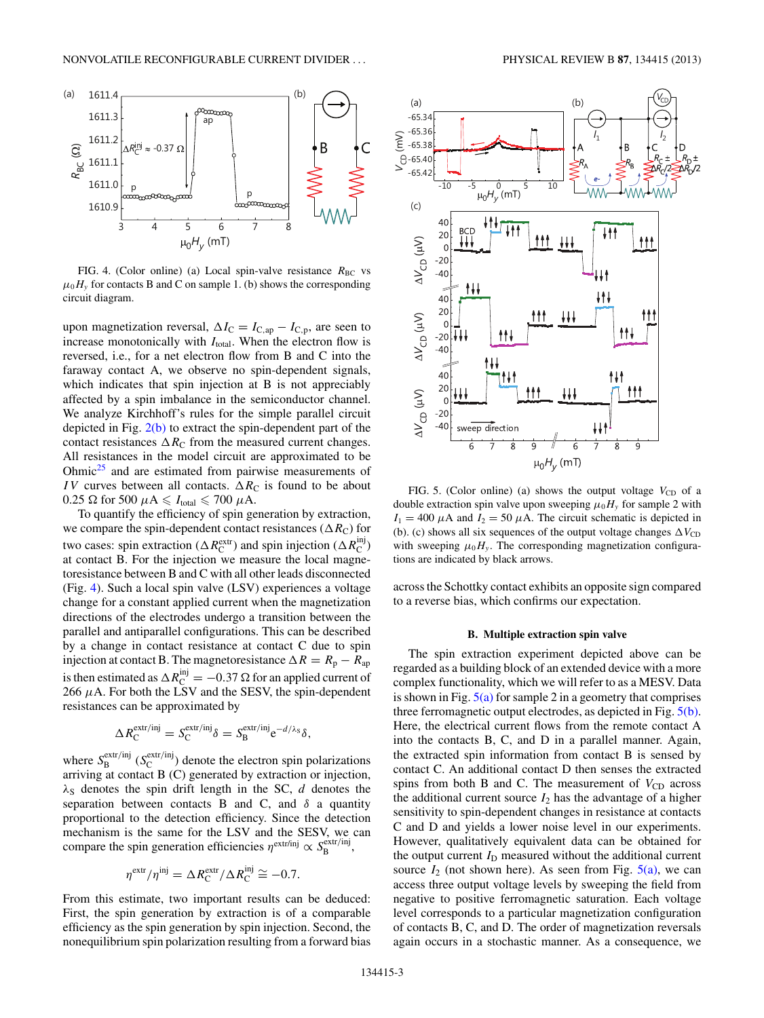<span id="page-2-0"></span>

FIG. 4. (Color online) (a) Local spin-valve resistance  $R_{BC}$  vs  $\mu_0 H$ <sub>y</sub> for contacts B and C on sample 1. (b) shows the corresponding circuit diagram.

upon magnetization reversal,  $\Delta I_C = I_{C,ap} - I_{C,p}$ , are seen to increase monotonically with  $I_{total}$ . When the electron flow is reversed, i.e., for a net electron flow from B and C into the faraway contact A, we observe no spin-dependent signals, which indicates that spin injection at B is not appreciably affected by a spin imbalance in the semiconductor channel. We analyze Kirchhoff's rules for the simple parallel circuit depicted in Fig. [2\(b\)](#page-1-0) to extract the spin-dependent part of the contact resistances  $\Delta R_C$  from the measured current changes. All resistances in the model circuit are approximated to be Ohmic<sup>25</sup> and are estimated from pairwise measurements of *IV* curves between all contacts.  $\Delta R_C$  is found to be about  $0.25$  Ω for 500  $\mu$ A  $\leqslant$  *I*<sub>total</sub>  $\leqslant$  700  $\mu$ A.

To quantify the efficiency of spin generation by extraction, we compare the spin-dependent contact resistances ( $\Delta R_C$ ) for two cases: spin extraction ( $\Delta R_{\rm C}^{\rm extr}$ ) and spin injection ( $\Delta R_{\rm C}^{\rm inj}$ ) at contact B. For the injection we measure the local magnetoresistance between B and C with all other leads disconnected (Fig. 4). Such a local spin valve (LSV) experiences a voltage change for a constant applied current when the magnetization directions of the electrodes undergo a transition between the parallel and antiparallel configurations. This can be described by a change in contact resistance at contact C due to spin injection at contact B. The magnetoresistance  $\Delta R = R_p - R_{ap}$ is then estimated as  $\Delta R_{\text{C}}^{\text{inj}} = -0.37 \Omega$  for an applied current of 266  $\mu$ A. For both the LSV and the SESV, the spin-dependent resistances can be approximated by

$$
\Delta R_{\rm C}^{\rm extr/inj} = S_{\rm C}^{\rm extr/inj} \delta = S_{\rm B}^{\rm extr/inj} e^{-d/\lambda_{\rm S}} \delta,
$$

where  $S_B^{\text{extr/inj}}$  ( $S_C^{\text{extr/inj}}$ ) denote the electron spin polarizations arriving at contact B (C) generated by extraction or injection,  $\lambda$ <sub>S</sub> denotes the spin drift length in the SC, *d* denotes the separation between contacts B and C, and  $\delta$  a quantity proportional to the detection efficiency. Since the detection mechanism is the same for the LSV and the SESV, we can compare the spin generation efficiencies  $\eta^{\text{extr/inj}} \propto S_B^{\text{extr/inj}}$ ,

$$
\eta^{\text{extr}}/\eta^{\text{inj}} = \Delta R_{\text{C}}^{\text{extr}}/\Delta R_{\text{C}}^{\text{inj}} \cong -0.7.
$$

From this estimate, two important results can be deduced: First, the spin generation by extraction is of a comparable efficiency as the spin generation by spin injection. Second, the nonequilibrium spin polarization resulting from a forward bias



FIG. 5. (Color online) (a) shows the output voltage  $V_{CD}$  of a double extraction spin valve upon sweeping  $\mu_0 H_y$  for sample 2 with  $I_1 = 400 \mu A$  and  $I_2 = 50 \mu A$ . The circuit schematic is depicted in (b). (c) shows all six sequences of the output voltage changes  $\Delta V_{CD}$ with sweeping  $\mu_0 H_y$ . The corresponding magnetization configurations are indicated by black arrows.

across the Schottky contact exhibits an opposite sign compared to a reverse bias, which confirms our expectation.

## **B. Multiple extraction spin valve**

The spin extraction experiment depicted above can be regarded as a building block of an extended device with a more complex functionality, which we will refer to as a MESV. Data is shown in Fig.  $5(a)$  for sample 2 in a geometry that comprises three ferromagnetic output electrodes, as depicted in Fig. 5(b). Here, the electrical current flows from the remote contact A into the contacts B, C, and D in a parallel manner. Again, the extracted spin information from contact B is sensed by contact C. An additional contact D then senses the extracted spins from both B and C. The measurement of  $V_{CD}$  across the additional current source  $I_2$  has the advantage of a higher sensitivity to spin-dependent changes in resistance at contacts C and D and yields a lower noise level in our experiments. However, qualitatively equivalent data can be obtained for the output current  $I_D$  measured without the additional current source  $I_2$  (not shown here). As seen from Fig.  $5(a)$ , we can access three output voltage levels by sweeping the field from negative to positive ferromagnetic saturation. Each voltage level corresponds to a particular magnetization configuration of contacts B, C, and D. The order of magnetization reversals again occurs in a stochastic manner. As a consequence, we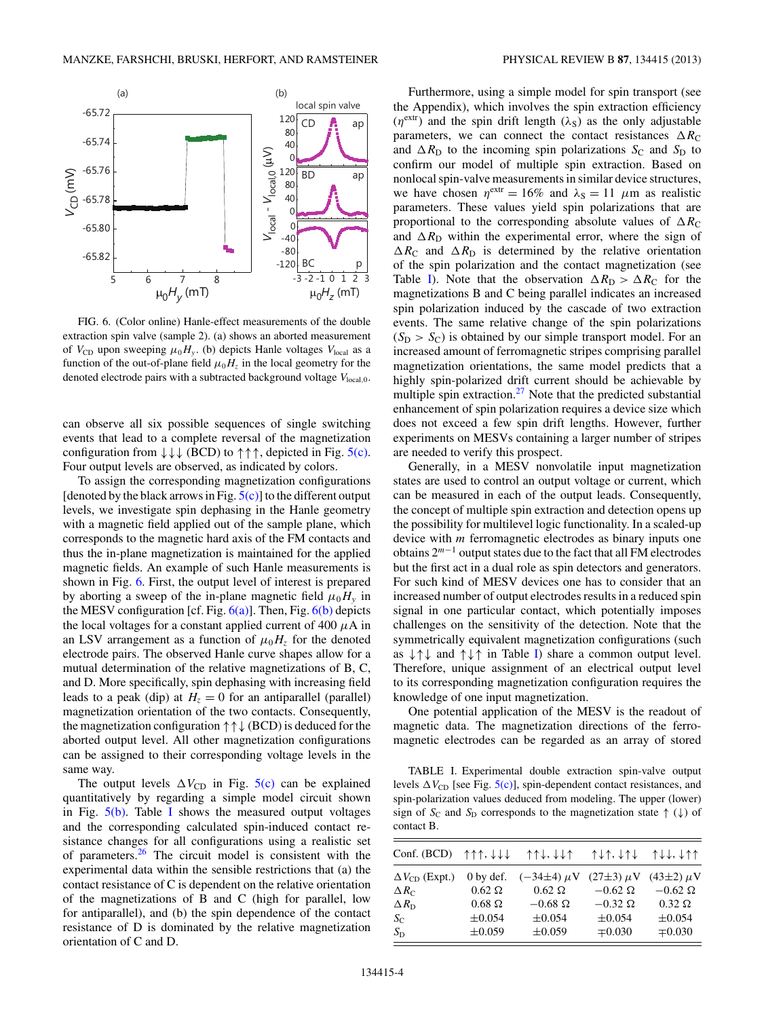<span id="page-3-0"></span>

FIG. 6. (Color online) Hanle-effect measurements of the double extraction spin valve (sample 2). (a) shows an aborted measurement of  $V_{CD}$  upon sweeping  $\mu_0 H_y$ . (b) depicts Hanle voltages  $V_{local}$  as a function of the out-of-plane field  $\mu_0 H_z$  in the local geometry for the denoted electrode pairs with a subtracted background voltage  $V_{local,0}$ .

can observe all six possible sequences of single switching events that lead to a complete reversal of the magnetization configuration from  $\downarrow \downarrow \downarrow$  (BCD) to  $\uparrow \uparrow \uparrow$ , depicted in Fig. [5\(c\).](#page-2-0) Four output levels are observed, as indicated by colors.

To assign the corresponding magnetization configurations [denoted by the black arrows in Fig.  $5(c)$ ] to the different output levels, we investigate spin dephasing in the Hanle geometry with a magnetic field applied out of the sample plane, which corresponds to the magnetic hard axis of the FM contacts and thus the in-plane magnetization is maintained for the applied magnetic fields. An example of such Hanle measurements is shown in Fig. 6. First, the output level of interest is prepared by aborting a sweep of the in-plane magnetic field  $\mu_0 H_y$  in the MESV configuration [cf. Fig.  $6(a)$ ]. Then, Fig.  $6(b)$  depicts the local voltages for a constant applied current of 400 *μ*A in an LSV arrangement as a function of  $\mu_0 H_z$  for the denoted electrode pairs. The observed Hanle curve shapes allow for a mutual determination of the relative magnetizations of B, C, and D. More specifically, spin dephasing with increasing field leads to a peak (dip) at  $H_z = 0$  for an antiparallel (parallel) magnetization orientation of the two contacts. Consequently, the magnetization configuration ↑↑↓ (BCD) is deduced for the aborted output level. All other magnetization configurations can be assigned to their corresponding voltage levels in the same way.

The output levels  $\Delta V_{\text{CD}}$  in Fig. [5\(c\)](#page-2-0) can be explained quantitatively by regarding a simple model circuit shown in Fig.  $5(b)$ . Table I shows the measured output voltages and the corresponding calculated spin-induced contact resistance changes for all configurations using a realistic set of parameters. $26$  The circuit model is consistent with the experimental data within the sensible restrictions that (a) the contact resistance of C is dependent on the relative orientation of the magnetizations of B and C (high for parallel, low for antiparallel), and (b) the spin dependence of the contact resistance of D is dominated by the relative magnetization orientation of C and D.

Furthermore, using a simple model for spin transport (see the Appendix), which involves the spin extraction efficiency  $(\eta^{\text{extr}})$  and the spin drift length ( $\lambda$ <sub>S</sub>) as the only adjustable parameters, we can connect the contact resistances  $\Delta R_C$ and  $\Delta R_{\text{D}}$  to the incoming spin polarizations  $S_{\text{C}}$  and  $S_{\text{D}}$  to confirm our model of multiple spin extraction. Based on nonlocal spin-valve measurements in similar device structures, we have chosen  $\eta^{\text{extr}} = 16\%$  and  $\lambda_{\text{S}} = 11 \mu \text{m}$  as realistic parameters. These values yield spin polarizations that are proportional to the corresponding absolute values of  $\Delta R_C$ and  $\Delta R_{\rm D}$  within the experimental error, where the sign of  $\Delta R_{\text{C}}$  and  $\Delta R_{\text{D}}$  is determined by the relative orientation of the spin polarization and the contact magnetization (see Table I). Note that the observation  $\Delta R_{\text{D}} > \Delta R_{\text{C}}$  for the magnetizations B and C being parallel indicates an increased spin polarization induced by the cascade of two extraction events. The same relative change of the spin polarizations  $(S_D > S_C)$  is obtained by our simple transport model. For an increased amount of ferromagnetic stripes comprising parallel magnetization orientations, the same model predicts that a highly spin-polarized drift current should be achievable by multiple spin extraction.<sup>27</sup> Note that the predicted substantial enhancement of spin polarization requires a device size which does not exceed a few spin drift lengths. However, further experiments on MESVs containing a larger number of stripes are needed to verify this prospect.

Generally, in a MESV nonvolatile input magnetization states are used to control an output voltage or current, which can be measured in each of the output leads. Consequently, the concept of multiple spin extraction and detection opens up the possibility for multilevel logic functionality. In a scaled-up device with *m* ferromagnetic electrodes as binary inputs one obtains 2*<sup>m</sup>*−<sup>1</sup> output states due to the fact that all FM electrodes but the first act in a dual role as spin detectors and generators. For such kind of MESV devices one has to consider that an increased number of output electrodes results in a reduced spin signal in one particular contact, which potentially imposes challenges on the sensitivity of the detection. Note that the symmetrically equivalent magnetization configurations (such as  $\downarrow \uparrow \downarrow$  and  $\uparrow \downarrow \uparrow$  in Table I) share a common output level. Therefore, unique assignment of an electrical output level to its corresponding magnetization configuration requires the knowledge of one input magnetization.

One potential application of the MESV is the readout of magnetic data. The magnetization directions of the ferromagnetic electrodes can be regarded as an array of stored

TABLE I. Experimental double extraction spin-valve output levels  $\Delta V_{\text{CD}}$  [see Fig.  $5(c)$ ], spin-dependent contact resistances, and spin-polarization values deduced from modeling. The upper (lower) sign of  $S_{\text{C}}$  and  $S_{\text{D}}$  corresponds to the magnetization state  $\uparrow (\downarrow)$  of contact B.

| Conf. (BCD)             | $\uparrow \uparrow \uparrow$ , $\downarrow \downarrow \downarrow$ | $\uparrow \uparrow \downarrow, \downarrow \downarrow \uparrow$ | $\uparrow \downarrow \uparrow$ , $\downarrow \uparrow \downarrow$ | ↑↓↓, ↓↑↑         |
|-------------------------|-------------------------------------------------------------------|----------------------------------------------------------------|-------------------------------------------------------------------|------------------|
| $\Delta V_{CD}$ (Expt.) | $0$ by def.                                                       | $(-34\pm4) \mu V$                                              | $(27\pm3) \mu V$                                                  | $(43\pm2) \mu V$ |
| $\Delta R_C$            | $0.62 \Omega$                                                     | $0.62 \Omega$                                                  | $-0.62 \Omega$                                                    | $-0.62 \Omega$   |
| $\Delta R_{\rm D}$      | $0.68\ \Omega$                                                    | $-0.68$ $\Omega$                                               | $-0.32 \Omega$                                                    | $0.32 \Omega$    |
| $S_{\rm C}$             | $\pm 0.054$                                                       | $\pm 0.054$                                                    | $\pm 0.054$                                                       | $\pm 0.054$      |
| $S_{\rm D}$             | $\pm 0.059$                                                       | $\pm 0.059$                                                    | $\mp 0.030$                                                       | $\mp 0.030$      |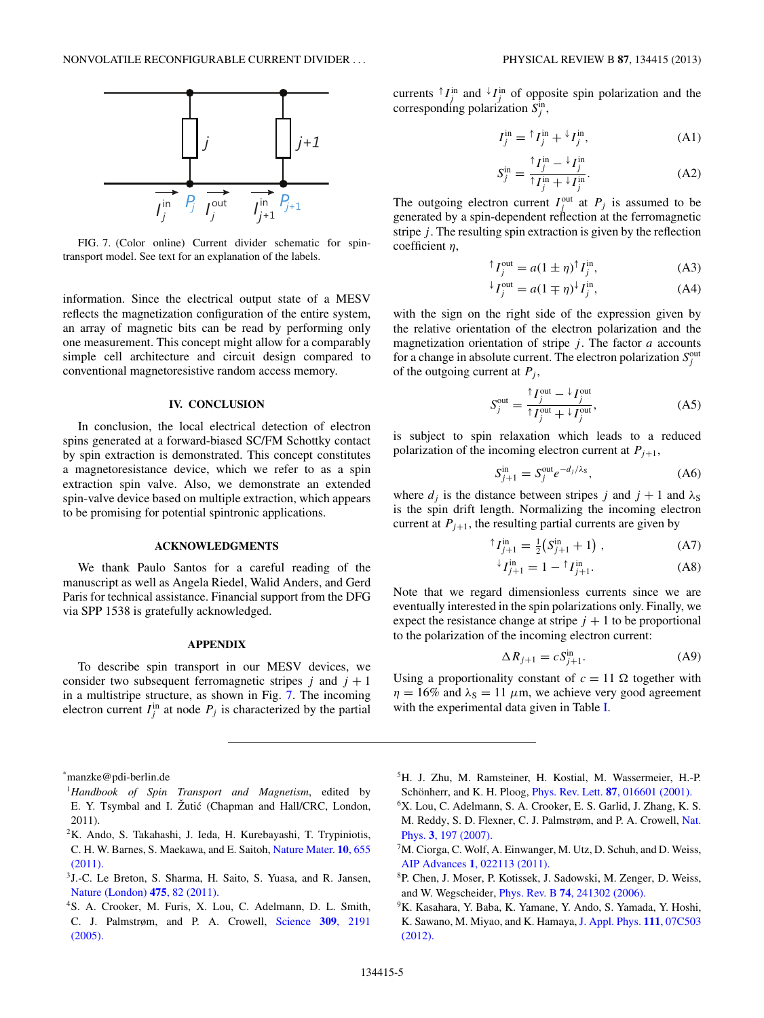<span id="page-4-0"></span>

FIG. 7. (Color online) Current divider schematic for spintransport model. See text for an explanation of the labels.

information. Since the electrical output state of a MESV reflects the magnetization configuration of the entire system, an array of magnetic bits can be read by performing only one measurement. This concept might allow for a comparably simple cell architecture and circuit design compared to conventional magnetoresistive random access memory.

## **IV. CONCLUSION**

In conclusion, the local electrical detection of electron spins generated at a forward-biased SC/FM Schottky contact by spin extraction is demonstrated. This concept constitutes a magnetoresistance device, which we refer to as a spin extraction spin valve. Also, we demonstrate an extended spin-valve device based on multiple extraction, which appears to be promising for potential spintronic applications.

## **ACKNOWLEDGMENTS**

We thank Paulo Santos for a careful reading of the manuscript as well as Angela Riedel, Walid Anders, and Gerd Paris for technical assistance. Financial support from the DFG via SPP 1538 is gratefully acknowledged.

## **APPENDIX**

To describe spin transport in our MESV devices, we consider two subsequent ferromagnetic stripes  $j$  and  $j + 1$ in a multistripe structure, as shown in Fig. 7. The incoming electron current  $I_j^{\text{in}}$  at node  $P_j$  is characterized by the partial

\* manzke@pdi-berlin.de

- <sup>1</sup>*Handbook of Spin Transport and Magnetism*, edited by E. Y. Tsymbal and I. Žutić (Chapman and Hall/CRC, London, 2011).
- 2K. Ando, S. Takahashi, J. Ieda, H. Kurebayashi, T. Trypiniotis, C. H. W. Barnes, S. Maekawa, and E. Saitoh, [Nature Mater.](http://dx.doi.org/10.1038/nmat3052) **10**, 655 [\(2011\).](http://dx.doi.org/10.1038/nmat3052)
- 3J.-C. Le Breton, S. Sharma, H. Saito, S. Yuasa, and R. Jansen, [Nature \(London\)](http://dx.doi.org/10.1038/nature10224) **475**, 82 (2011).
- 4S. A. Crooker, M. Furis, X. Lou, C. Adelmann, D. L. Smith, C. J. Palmstrøm, and P. A. Crowell, [Science](http://dx.doi.org/10.1126/science.1116865) **309**, 2191 [\(2005\).](http://dx.doi.org/10.1126/science.1116865)

currents  $\uparrow I_j^{\text{in}}$  and  $\downarrow I_j^{\text{in}}$  of opposite spin polarization and the corresponding polarization  $S_j^{\text{in}}$ ,

$$
I_j^{\text{in}} = {}^{\uparrow} I_j^{\text{in}} + {}^{\downarrow} I_j^{\text{in}}, \tag{A1}
$$

$$
S_j^{\text{in}} = \frac{\uparrow I_j^{\text{in}} - \downarrow I_j^{\text{in}}}{\uparrow I_j^{\text{in}} + \downarrow I_j^{\text{in}}}.
$$
\n(A2)

The outgoing electron current  $I_j^{\text{out}}$  at  $P_j$  is assumed to be generated by a spin-dependent reflection at the ferromagnetic stripe *j*. The resulting spin extraction is given by the reflection coefficient *η*,

$$
{}^{\uparrow}I_j^{\text{out}} = a(1 \pm \eta)^{\uparrow}I_j^{\text{in}},\tag{A3}
$$

$$
{}^{\downarrow}I_j^{\text{out}} = a(1 \mp \eta) {}^{\downarrow}I_j^{\text{in}}, \tag{A4}
$$

with the sign on the right side of the expression given by the relative orientation of the electron polarization and the magnetization orientation of stripe  $j$ . The factor  $a$  accounts for a change in absolute current. The electron polarization  $S_j^{\text{out}}$ of the outgoing current at  $P_i$ ,

$$
S_j^{\text{out}} = \frac{\uparrow I_j^{\text{out}} - \downarrow I_j^{\text{out}}}{\uparrow I_j^{\text{out}} + \downarrow I_j^{\text{out}}},\tag{A5}
$$

is subject to spin relaxation which leads to a reduced polarization of the incoming electron current at  $P_{j+1}$ ,

$$
S_{j+1}^{\text{in}} = S_j^{\text{out}} e^{-d_j/\lambda_s},\tag{A6}
$$

where  $d_i$  is the distance between stripes *j* and  $j + 1$  and  $\lambda_s$ is the spin drift length. Normalizing the incoming electron current at  $P_{j+1}$ , the resulting partial currents are given by

$$
{}^{\uparrow}I_{j+1}^{\text{in}} = \frac{1}{2} \big( S_{j+1}^{\text{in}} + 1 \big) , \tag{A7}
$$

$$
{}^{\downarrow}I_{j+1}^{\text{in}} = 1 - {}^{\uparrow}I_{j+1}^{\text{in}}.
$$
 (A8)

Note that we regard dimensionless currents since we are eventually interested in the spin polarizations only. Finally, we expect the resistance change at stripe  $j + 1$  to be proportional to the polarization of the incoming electron current:

$$
\Delta R_{j+1} = c S_{j+1}^{\text{in}}.\tag{A9}
$$

Using a proportionality constant of  $c = 11 \Omega$  together with  $\eta = 16\%$  and  $\lambda_s = 11 \mu m$ , we achieve very good agreement with the experimental data given in Table [I.](#page-3-0)

- 5H. J. Zhu, M. Ramsteiner, H. Kostial, M. Wassermeier, H.-P. Schönherr, and K. H. Ploog, *Phys. Rev. Lett.* **87**[, 016601 \(2001\).](http://dx.doi.org/10.1103/PhysRevLett.87.016601)
- 6X. Lou, C. Adelmann, S. A. Crooker, E. S. Garlid, J. Zhang, K. S. M. Reddy, S. D. Flexner, C. J. Palmstrøm, and P. A. Crowell, [Nat.](http://dx.doi.org/10.1038/nphys543) Phys. **3**[, 197 \(2007\).](http://dx.doi.org/10.1038/nphys543)
- <sup>7</sup>M. Ciorga, C. Wolf, A. Einwanger, M. Utz, D. Schuh, and D. Weiss, AIP Advances **1**[, 022113 \(2011\).](http://dx.doi.org/10.1063/1.3591397)
- 8P. Chen, J. Moser, P. Kotissek, J. Sadowski, M. Zenger, D. Weiss, and W. Wegscheider, Phys. Rev. B **74**[, 241302 \(2006\).](http://dx.doi.org/10.1103/PhysRevB.74.241302)
- 9K. Kasahara, Y. Baba, K. Yamane, Y. Ando, S. Yamada, Y. Hoshi, K. Sawano, M. Miyao, and K. Hamaya, [J. Appl. Phys.](http://dx.doi.org/10.1063/1.3670985) **111**, 07C503 [\(2012\).](http://dx.doi.org/10.1063/1.3670985)